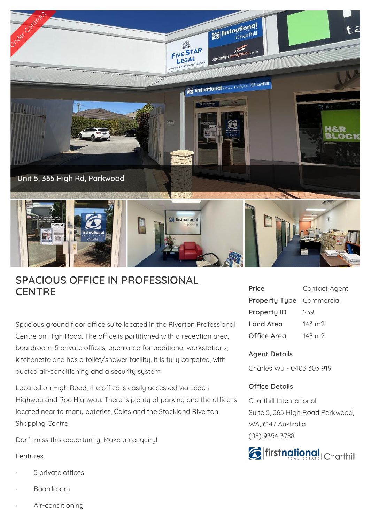

## **SPACIOUS OFFICE IN PROFESSIONAL CENTRE**

Spacious ground floor office suite located in the Riverton Professional Centre on High Road. The office is partitioned with a reception area, boardroom, 5 private offices, open area for additional workstations, kitchenette and has a toilet/shower facility. It is fully carpeted, with ducted air-conditioning and a security system.

Located on High Road, the office is easily accessed via Leach Highway and Roe Highway. There is plenty of parking and the office is located near to many eateries, Coles and the Stockland Riverton Shopping Centre.

Don't miss this opportunity. Make an enquiry!

## Features:

- 5 private offices
- · Boardroom
- Air-conditioning

| Price                | Contact Agent   |
|----------------------|-----------------|
| <b>Property Type</b> | Commercial      |
| <b>Property ID</b>   | 239             |
| Land Area            | $143 \text{ m}$ |
| Office Area          | $143 \text{ m}$ |

## **Agent Details**

Charles Wu - 0403 303 919

## **Office Details**

Charthill International Suite 5, 365 High Road Parkwood, WA, 6147 Australia (08) 9354 3788